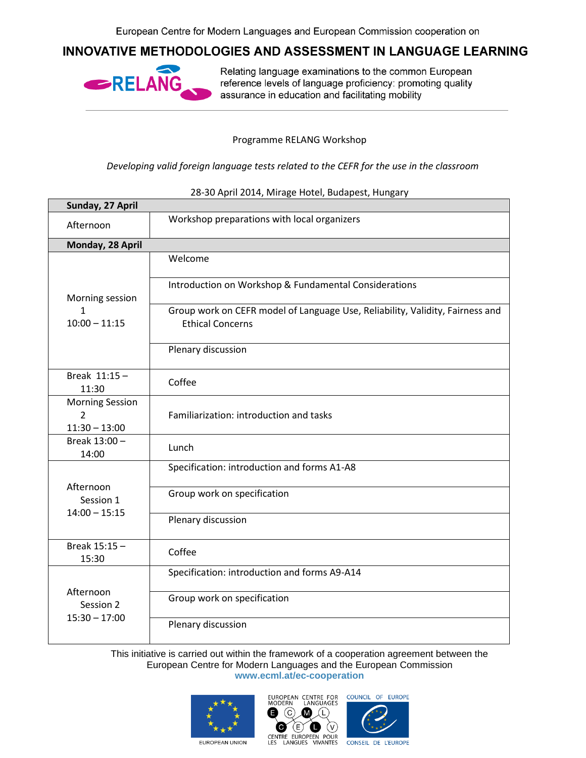## INNOVATIVE METHODOLOGIES AND ASSESSMENT IN LANGUAGE LEARNING



Relating language examinations to the common European reference levels of language proficiency: promoting quality assurance in education and facilitating mobility

Programme RELANG Workshop

*Developing valid foreign language tests related to the CEFR for the use in the classroom*

| Sunday, 27 April                                            |                                                                                                          |  |
|-------------------------------------------------------------|----------------------------------------------------------------------------------------------------------|--|
| Afternoon                                                   | Workshop preparations with local organizers                                                              |  |
| Monday, 28 April                                            |                                                                                                          |  |
| Morning session<br>1<br>$10:00 - 11:15$                     | Welcome                                                                                                  |  |
|                                                             | Introduction on Workshop & Fundamental Considerations                                                    |  |
|                                                             | Group work on CEFR model of Language Use, Reliability, Validity, Fairness and<br><b>Ethical Concerns</b> |  |
|                                                             | Plenary discussion                                                                                       |  |
| Break $11:15 -$<br>11:30                                    | Coffee                                                                                                   |  |
| <b>Morning Session</b><br>$\overline{2}$<br>$11:30 - 13:00$ | Familiarization: introduction and tasks                                                                  |  |
| Break 13:00 -<br>14:00                                      | Lunch                                                                                                    |  |
| Afternoon<br>Session 1<br>$14:00 - 15:15$                   | Specification: introduction and forms A1-A8                                                              |  |
|                                                             | Group work on specification                                                                              |  |
|                                                             | Plenary discussion                                                                                       |  |
| Break 15:15 -<br>15:30                                      | Coffee                                                                                                   |  |
| Afternoon<br>Session 2<br>$15:30 - 17:00$                   | Specification: introduction and forms A9-A14                                                             |  |
|                                                             | Group work on specification                                                                              |  |
|                                                             | Plenary discussion                                                                                       |  |

## 28-30 April 2014, Mirage Hotel, Budapest, Hungary

This initiative is carried out within the framework of a cooperation agreement between the European Centre for Modern Languages and the European Commission **www.ecml.at/ec-cooperation**